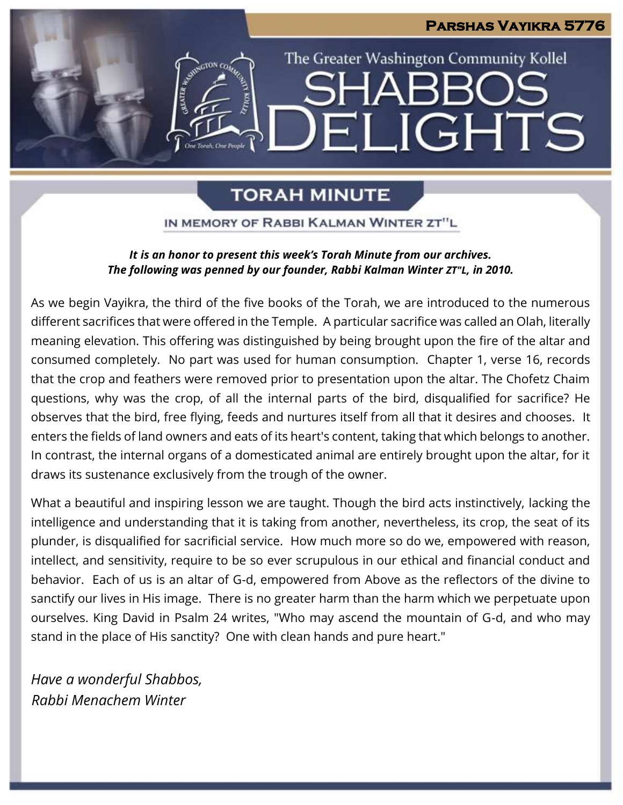# **Parshas Vayikra 5776** The Greater Washington Community Kollel IARF ELIGHTS

# **TORAH MINUTE**

IN MEMORY OF RABBI KALMAN WINTER ZT"L

# *It is an honor to present this week's Torah Minute from our archives. The following was penned by our founder, Rabbi Kalman Winter ZT"L, in 2010.*

As we begin Vayikra, the third of the five books of the Torah, we are introduced to the numerous different sacrifices that were offered in the Temple. A particular sacrifice was called an Olah, literally meaning elevation. This offering was distinguished by being brought upon the fire of the altar and consumed completely. No part was used for human consumption. Chapter 1, verse 16, records that the crop and feathers were removed prior to presentation upon the altar. The Chofetz Chaim questions, why was the crop, of all the internal parts of the bird, disqualified for sacrifice? He observes that the bird, free flying, feeds and nurtures itself from all that it desires and chooses. It enters the fields of land owners and eats of its heart's content, taking that which belongs to another. In contrast, the internal organs of a domesticated animal are entirely brought upon the altar, for it draws its sustenance exclusively from the trough of the owner.

What a beautiful and inspiring lesson we are taught. Though the bird acts instinctively, lacking the intelligence and understanding that it is taking from another, nevertheless, its crop, the seat of its plunder, is disqualified for sacrificial service. How much more so do we, empowered with reason, intellect, and sensitivity, require to be so ever scrupulous in our ethical and financial conduct and behavior. Each of us is an altar of G-d, empowered from Above as the reflectors of the divine to sanctify our lives in His image. There is no greater harm than the harm which we perpetuate upon ourselves. King David in Psalm 24 writes, "Who may ascend the mountain of G-d, and who may stand in the place of His sanctity? One with clean hands and pure heart."

*Have a wonderful Shabbos, Rabbi Menachem Winter*